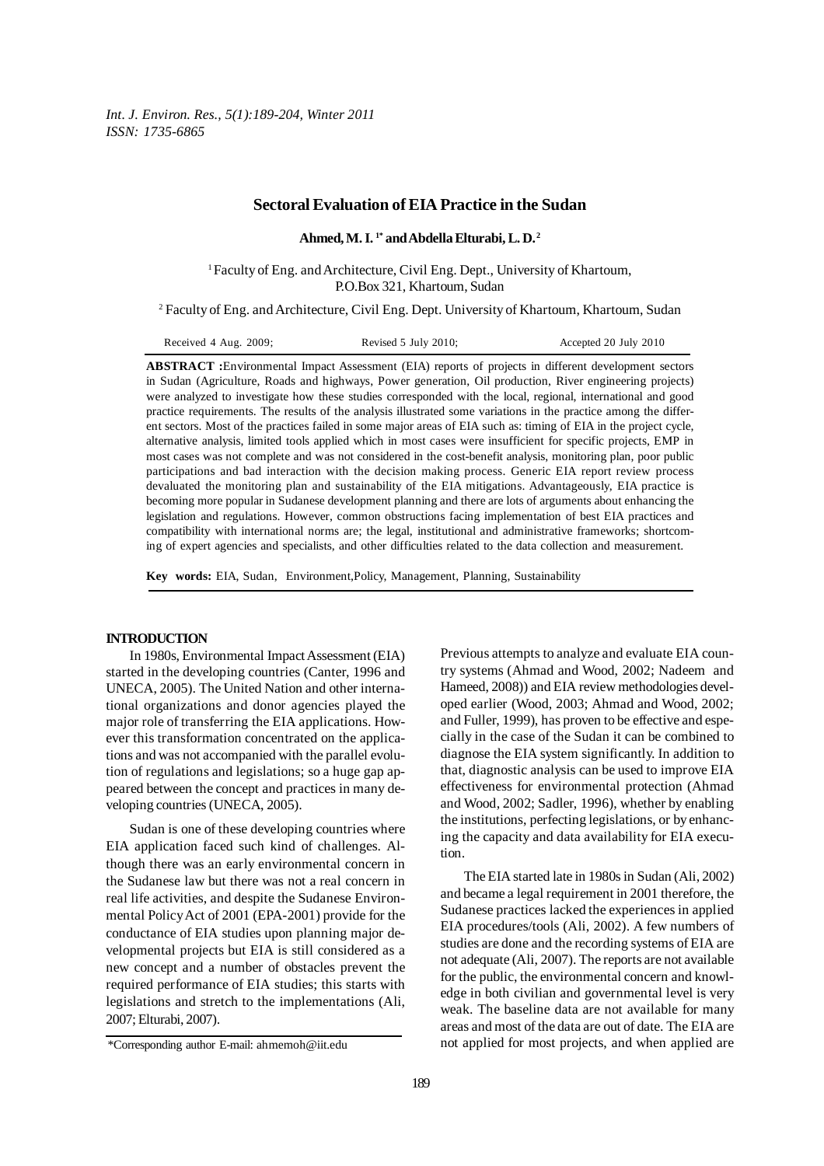*Int. J. Environ. Res., 5(1):189-204, Winter 2011 ISSN: 1735-6865*

## **Sectoral Evaluation of EIA Practice in the Sudan**

**Ahmed, M. I. 1\* and Abdella Elturabi, L. D. 2**

<sup>1</sup> Faculty of Eng. and Architecture, Civil Eng. Dept., University of Khartoum, P.O.Box 321, Khartoum, Sudan

2 Faculty of Eng. and Architecture, Civil Eng. Dept. University of Khartoum, Khartoum, Sudan

**ABSTRACT :**Environmental Impact Assessment (EIA) reports of projects in different development sectors in Sudan (Agriculture, Roads and highways, Power generation, Oil production, River engineering projects) were analyzed to investigate how these studies corresponded with the local, regional, international and good practice requirements. The results of the analysis illustrated some variations in the practice among the different sectors. Most of the practices failed in some major areas of EIA such as: timing of EIA in the project cycle, alternative analysis, limited tools applied which in most cases were insufficient for specific projects, EMP in most cases was not complete and was not considered in the cost-benefit analysis, monitoring plan, poor public participations and bad interaction with the decision making process. Generic EIA report review process devaluated the monitoring plan and sustainability of the EIA mitigations. Advantageously, EIA practice is becoming more popular in Sudanese development planning and there are lots of arguments about enhancing the legislation and regulations. However, common obstructions facing implementation of best EIA practices and compatibility with international norms are; the legal, institutional and administrative frameworks; shortcoming of expert agencies and specialists, and other difficulties related to the data collection and measurement.

**Key words:** EIA, Sudan, Environment,Policy, Management, Planning, Sustainability

## **INTRODUCTION**

In 1980s, Environmental Impact Assessment (EIA) started in the developing countries (Canter, 1996 and UNECA, 2005). The United Nation and other international organizations and donor agencies played the major role of transferring the EIA applications. However this transformation concentrated on the applications and was not accompanied with the parallel evolution of regulations and legislations; so a huge gap appeared between the concept and practices in many developing countries (UNECA, 2005).

Sudan is one of these developing countries where EIA application faced such kind of challenges. Although there was an early environmental concern in the Sudanese law but there was not a real concern in real life activities, and despite the Sudanese Environmental Policy Act of 2001 (EPA-2001) provide for the conductance of EIA studies upon planning major developmental projects but EIA is still considered as a new concept and a number of obstacles prevent the required performance of EIA studies; this starts with legislations and stretch to the implementations (Ali, 2007; Elturabi, 2007).

try systems (Ahmad and Wood, 2002; Nadeem and Hameed, 2008)) and EIA review methodologies developed earlier (Wood, 2003; Ahmad and Wood, 2002; and Fuller, 1999), has proven to be effective and especially in the case of the Sudan it can be combined to diagnose the EIA system significantly. In addition to that, diagnostic analysis can be used to improve EIA effectiveness for environmental protection (Ahmad and Wood, 2002; Sadler, 1996), whether by enabling the institutions, perfecting legislations, or by enhancing the capacity and data availability for EIA execution.

Previous attempts to analyze and evaluate EIA coun-

The EIA started late in 1980s in Sudan (Ali, 2002) and became a legal requirement in 2001 therefore, the Sudanese practices lacked the experiences in applied EIA procedures/tools (Ali, 2002). A few numbers of studies are done and the recording systems of EIA are not adequate (Ali, 2007). The reports are not available for the public, the environmental concern and knowledge in both civilian and governmental level is very weak. The baseline data are not available for many areas and most of the data are out of date. The EIA are not applied for most projects, and when applied are

<sup>\*</sup>Corresponding author E-mail: ahmemoh@iit.edu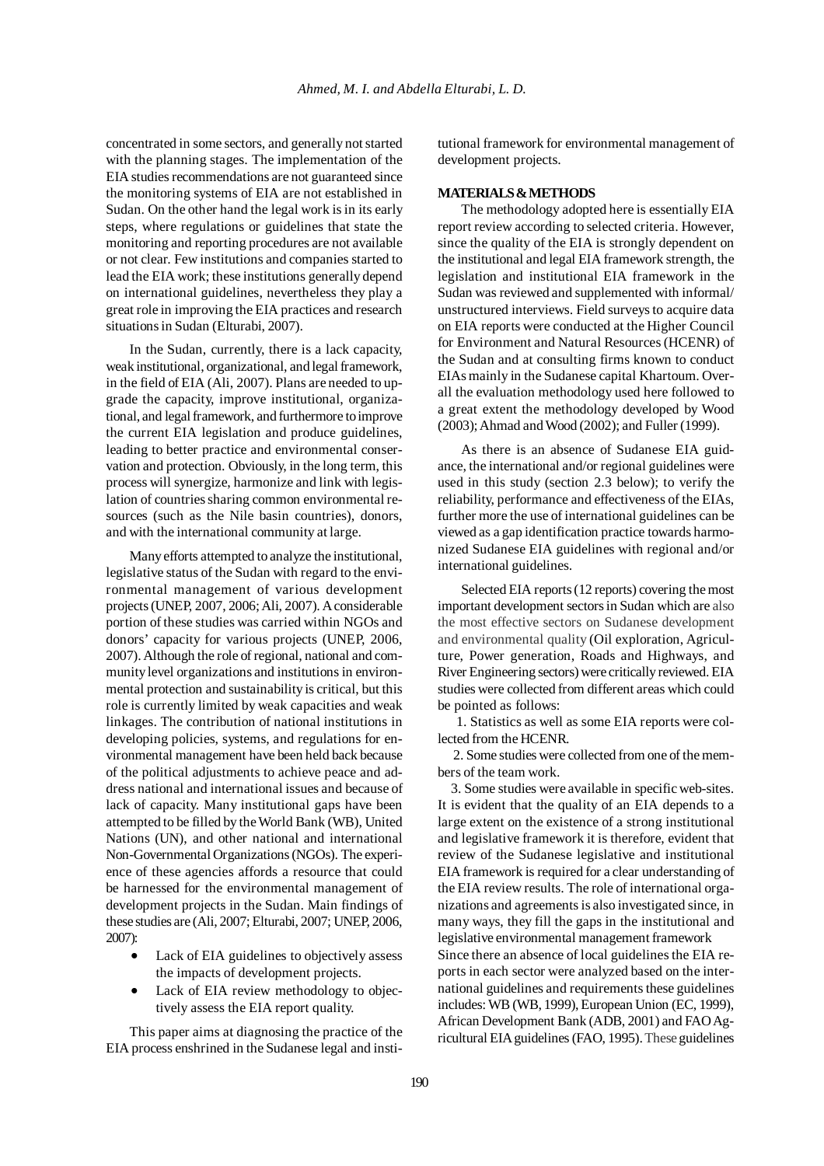concentrated in some sectors, and generally not started with the planning stages. The implementation of the EIA studies recommendations are not guaranteed since the monitoring systems of EIA are not established in Sudan. On the other hand the legal work is in its early steps, where regulations or guidelines that state the monitoring and reporting procedures are not available or not clear. Few institutions and companies started to lead the EIA work; these institutions generally depend on international guidelines, nevertheless they play a great role in improving the EIA practices and research situations in Sudan (Elturabi, 2007).

In the Sudan, currently, there is a lack capacity, weak institutional, organizational, and legal framework, in the field of EIA (Ali, 2007). Plans are needed to upgrade the capacity, improve institutional, organizational, and legal framework, and furthermore to improve the current EIA legislation and produce guidelines, leading to better practice and environmental conservation and protection. Obviously, in the long term, this process will synergize, harmonize and link with legislation of countries sharing common environmental resources (such as the Nile basin countries), donors, and with the international community at large.

Many efforts attempted to analyze the institutional, legislative status of the Sudan with regard to the environmental management of various development projects (UNEP, 2007, 2006; Ali, 2007). A considerable portion of these studies was carried within NGOs and donors' capacity for various projects (UNEP, 2006, 2007). Although the role of regional, national and community level organizations and institutions in environmental protection and sustainability is critical, but this role is currently limited by weak capacities and weak linkages. The contribution of national institutions in developing policies, systems, and regulations for environmental management have been held back because of the political adjustments to achieve peace and address national and international issues and because of lack of capacity. Many institutional gaps have been attempted to be filled by the World Bank (WB), United Nations (UN), and other national and international Non-Governmental Organizations (NGOs). The experience of these agencies affords a resource that could be harnessed for the environmental management of development projects in the Sudan. Main findings of these studies are (Ali, 2007; Elturabi, 2007; UNEP, 2006, 2007):

- Lack of EIA guidelines to objectively assess the impacts of development projects.
- Lack of EIA review methodology to objectively assess the EIA report quality.

This paper aims at diagnosing the practice of the EIA process enshrined in the Sudanese legal and institutional framework for environmental management of development projects.

## **MATERIALS & METHODS**

The methodology adopted here is essentially EIA report review according to selected criteria. However, since the quality of the EIA is strongly dependent on the institutional and legal EIA framework strength, the legislation and institutional EIA framework in the Sudan was reviewed and supplemented with informal/ unstructured interviews. Field surveys to acquire data on EIA reports were conducted at the Higher Council for Environment and Natural Resources (HCENR) of the Sudan and at consulting firms known to conduct EIAs mainly in the Sudanese capital Khartoum. Overall the evaluation methodology used here followed to a great extent the methodology developed by Wood (2003); Ahmad and Wood (2002); and Fuller (1999).

As there is an absence of Sudanese EIA guidance, the international and/or regional guidelines were used in this study (section 2.3 below); to verify the reliability, performance and effectiveness of the EIAs, further more the use of international guidelines can be viewed as a gap identification practice towards harmonized Sudanese EIA guidelines with regional and/or international guidelines.

Selected EIA reports (12 reports) covering the most important development sectors in Sudan which are also the most effective sectors on Sudanese development and environmental quality (Oil exploration, Agriculture, Power generation, Roads and Highways, and River Engineering sectors) were critically reviewed. EIA studies were collected from different areas which could be pointed as follows:

1. Statistics as well as some EIA reports were collected from the HCENR.

 2. Some studies were collected from one of the members of the team work.

 3. Some studies were available in specific web-sites. It is evident that the quality of an EIA depends to a large extent on the existence of a strong institutional and legislative framework it is therefore, evident that review of the Sudanese legislative and institutional EIA framework is required for a clear understanding of the EIA review results. The role of international organizations and agreements is also investigated since, in many ways, they fill the gaps in the institutional and legislative environmental management framework Since there an absence of local guidelines the EIA reports in each sector were analyzed based on the international guidelines and requirements these guidelines includes: WB (WB, 1999), European Union (EC, 1999), African Development Bank (ADB, 2001) and FAO Agricultural EIA guidelines (FAO, 1995). These guidelines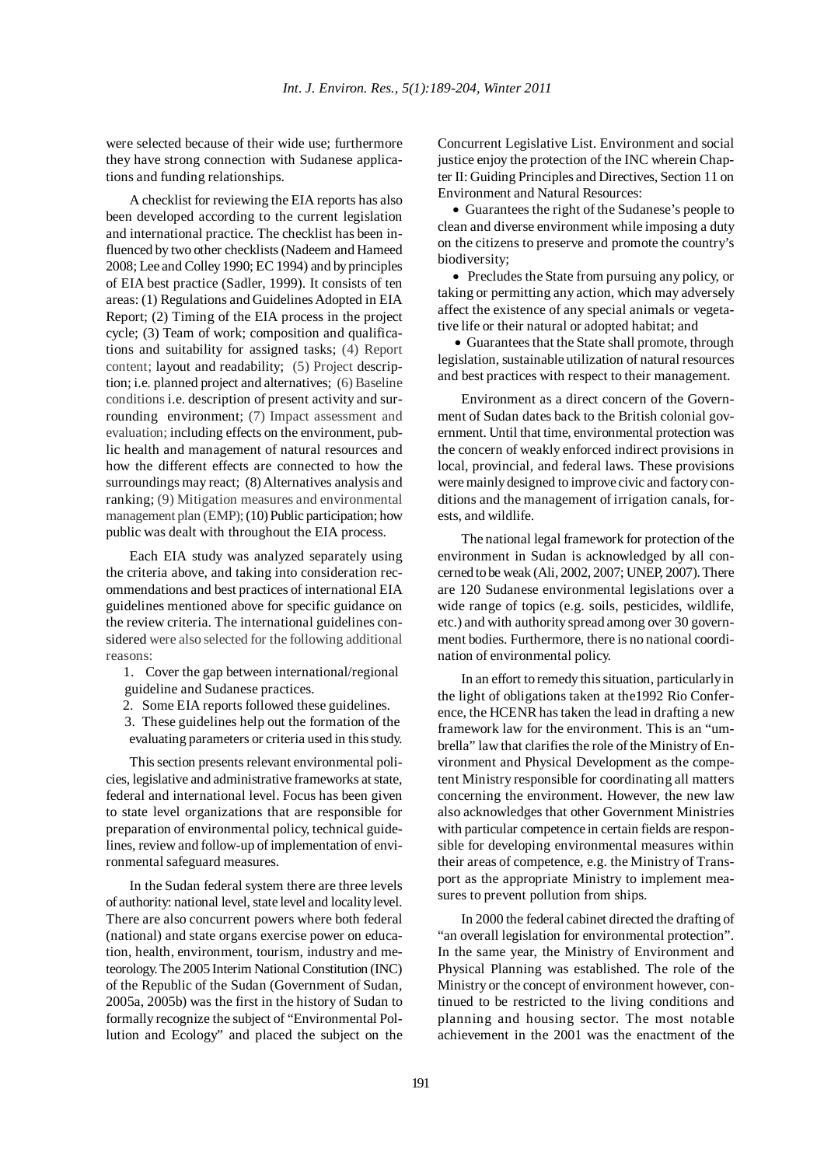were selected because of their wide use; furthermore they have strong connection with Sudanese applications and funding relationships.

A checklist for reviewing the EIA reports has also been developed according to the current legislation and international practice. The checklist has been influenced by two other checklists (Nadeem and Hameed 2008; Lee and Colley 1990; EC 1994) and by principles of EIA best practice (Sadler, 1999). It consists of ten areas: (1) Regulations and Guidelines Adopted in EIA Report; (2) Timing of the EIA process in the project cycle; (3) Team of work; composition and qualifications and suitability for assigned tasks; (4) Report content; layout and readability; (5) Project description; i.e. planned project and alternatives; (6) Baseline conditions i.e. description of present activity and surrounding environment; (7) Impact assessment and evaluation; including effects on the environment, public health and management of natural resources and how the different effects are connected to how the surroundings may react; (8) Alternatives analysis and ranking; (9) Mitigation measures and environmental management plan (EMP); (10) Public participation; how public was dealt with throughout the EIA process.

Each EIA study was analyzed separately using the criteria above, and taking into consideration recommendations and best practices of international EIA guidelines mentioned above for specific guidance on the review criteria. The international guidelines considered were also selected for the following additional reasons:

 1. Cover the gap between international/regional guideline and Sudanese practices.

- 2. Some EIA reports followed these guidelines.
- 3. These guidelines help out the formation of the evaluating parameters or criteria used in this study.

This section presents relevant environmental policies, legislative and administrative frameworks at state, federal and international level. Focus has been given to state level organizations that are responsible for preparation of environmental policy, technical guidelines, review and follow-up of implementation of environmental safeguard measures.

In the Sudan federal system there are three levels of authority: national level, state level and locality level. There are also concurrent powers where both federal (national) and state organs exercise power on education, health, environment, tourism, industry and meteorology. The 2005 Interim National Constitution (INC) of the Republic of the Sudan (Government of Sudan, 2005a, 2005b) was the first in the history of Sudan to formally recognize the subject of "Environmental Pollution and Ecology" and placed the subject on the Concurrent Legislative List. Environment and social justice enjoy the protection of the INC wherein Chapter II: Guiding Principles and Directives, Section 11 on Environment and Natural Resources:

 • Guarantees the right of the Sudanese's people to clean and diverse environment while imposing a duty on the citizens to preserve and promote the country's biodiversity;

 • Precludes the State from pursuing any policy, or taking or permitting any action, which may adversely affect the existence of any special animals or vegetative life or their natural or adopted habitat; and

 • Guarantees that the State shall promote, through legislation, sustainable utilization of natural resources and best practices with respect to their management.

Environment as a direct concern of the Government of Sudan dates back to the British colonial government. Until that time, environmental protection was the concern of weakly enforced indirect provisions in local, provincial, and federal laws. These provisions were mainly designed to improve civic and factory conditions and the management of irrigation canals, forests, and wildlife.

The national legal framework for protection of the environment in Sudan is acknowledged by all concerned to be weak (Ali, 2002, 2007; UNEP, 2007). There are 120 Sudanese environmental legislations over a wide range of topics (e.g. soils, pesticides, wildlife, etc.) and with authority spread among over 30 government bodies. Furthermore, there is no national coordination of environmental policy.

In an effort to remedy this situation, particularly in the light of obligations taken at the1992 Rio Conference, the HCENR has taken the lead in drafting a new framework law for the environment. This is an "umbrella" law that clarifies the role of the Ministry of Environment and Physical Development as the competent Ministry responsible for coordinating all matters concerning the environment. However, the new law also acknowledges that other Government Ministries with particular competence in certain fields are responsible for developing environmental measures within their areas of competence, e.g. the Ministry of Transport as the appropriate Ministry to implement measures to prevent pollution from ships.

In 2000 the federal cabinet directed the drafting of "an overall legislation for environmental protection". In the same year, the Ministry of Environment and Physical Planning was established. The role of the Ministry or the concept of environment however, continued to be restricted to the living conditions and planning and housing sector. The most notable achievement in the 2001 was the enactment of the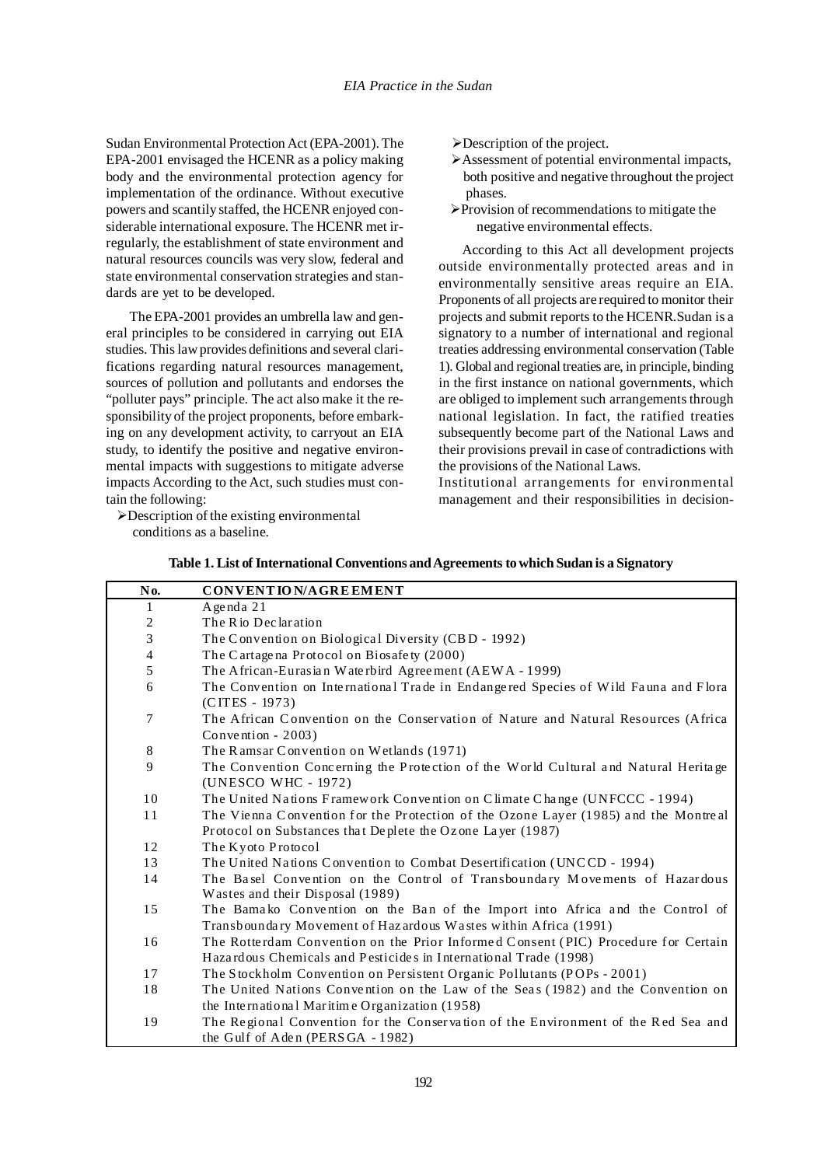Sudan Environmental Protection Act (EPA-2001). The EPA-2001 envisaged the HCENR as a policy making body and the environmental protection agency for implementation of the ordinance. Without executive powers and scantily staffed, the HCENR enjoyed considerable international exposure. The HCENR met irregularly, the establishment of state environment and natural resources councils was very slow, federal and state environmental conservation strategies and standards are yet to be developed.

The EPA-2001 provides an umbrella law and general principles to be considered in carrying out EIA studies. This law provides definitions and several clarifications regarding natural resources management, sources of pollution and pollutants and endorses the "polluter pays" principle. The act also make it the responsibility of the project proponents, before embarking on any development activity, to carryout an EIA study, to identify the positive and negative environmental impacts with suggestions to mitigate adverse impacts According to the Act, such studies must contain the following:

 $\triangleright$ Description of the existing environmental conditions as a baseline.

- ¾Description of the project.
- ¾Assessment of potential environmental impacts, both positive and negative throughout the project phases.
- ¾Provision of recommendations to mitigate the negative environmental effects.

According to this Act all development projects outside environmentally protected areas and in environmentally sensitive areas require an EIA. Proponents of all projects are required to monitor their projects and submit reports to the HCENR.Sudan is a signatory to a number of international and regional treaties addressing environmental conservation (Table 1). Global and regional treaties are, in principle, binding in the first instance on national governments, which are obliged to implement such arrangements through national legislation. In fact, the ratified treaties subsequently become part of the National Laws and their provisions prevail in case of contradictions with the provisions of the National Laws.

Institutional arrangements for environmental management and their responsibilities in decision-

| No.            | CONVENTION/AGREEMENT                                                                                                                                   |
|----------------|--------------------------------------------------------------------------------------------------------------------------------------------------------|
| 1              | A genda $21$                                                                                                                                           |
| 2              | The R io Declaration                                                                                                                                   |
| $\mathfrak{Z}$ | The Convention on Biological Diversity (CBD - 1992)                                                                                                    |
| $\overline{4}$ | The Cartagena Protocol on Biosafety (2000)                                                                                                             |
| 5              | The African-Eurasian Waterbird Agreement (AEWA - 1999)                                                                                                 |
| 6              | The Convention on International Trade in Endangered Species of Wild Fauna and Flora<br>(CITES - 1973)                                                  |
| 7              | The African Convention on the Conservation of Nature and Natural Resources (Africa<br>Convention - $2003$ )                                            |
| 8              | The Ramsar Convention on Wetlands (1971)                                                                                                               |
| 9              | The Convention Concerning the Protection of the World Cultural and Natural Heritage<br>(UNESCO WHC - 1972)                                             |
| 10             | The United Nations Framework Convention on Climate Change (UNFCCC - 1994)                                                                              |
| 11             | The Vienna Convention for the Protection of the Ozone Layer (1985) and the Montreal<br>Protocol on Substances that Deplete the Ozone Layer (1987)      |
| 12             | The Kyoto Protocol                                                                                                                                     |
| 13             | The United Nations Convention to Combat Desertification (UNCCD - 1994)                                                                                 |
| 14             | The Basel Convention on the Control of Transboundary Movements of Hazardous<br>Wastes and their Disposal (1989)                                        |
| 15             | The Bamako Convention on the Ban of the Import into Africa and the Control of<br>Transboundary Movement of Hazardous Wastes within Africa (1991)       |
| 16             | The Rotterdam Convention on the Prior Informed Consent (PIC) Procedure for Certain<br>Hazardous Chemicals and Pesticides in International Trade (1998) |
| 17             | The Stockholm Convention on Persistent Organic Pollutants (POPs - 2001)                                                                                |
| 18             | The United Nations Convention on the Law of the Seas (1982) and the Convention on                                                                      |
|                | the International Maritime Organization (1958)                                                                                                         |
| 19             | The Regional Convention for the Conservation of the Environment of the Red Sea and<br>the Gulf of Aden (PERSGA - 1982)                                 |

| Table 1. List of International Conventions and Agreements to which Sudan is a Signatory |  |
|-----------------------------------------------------------------------------------------|--|
|                                                                                         |  |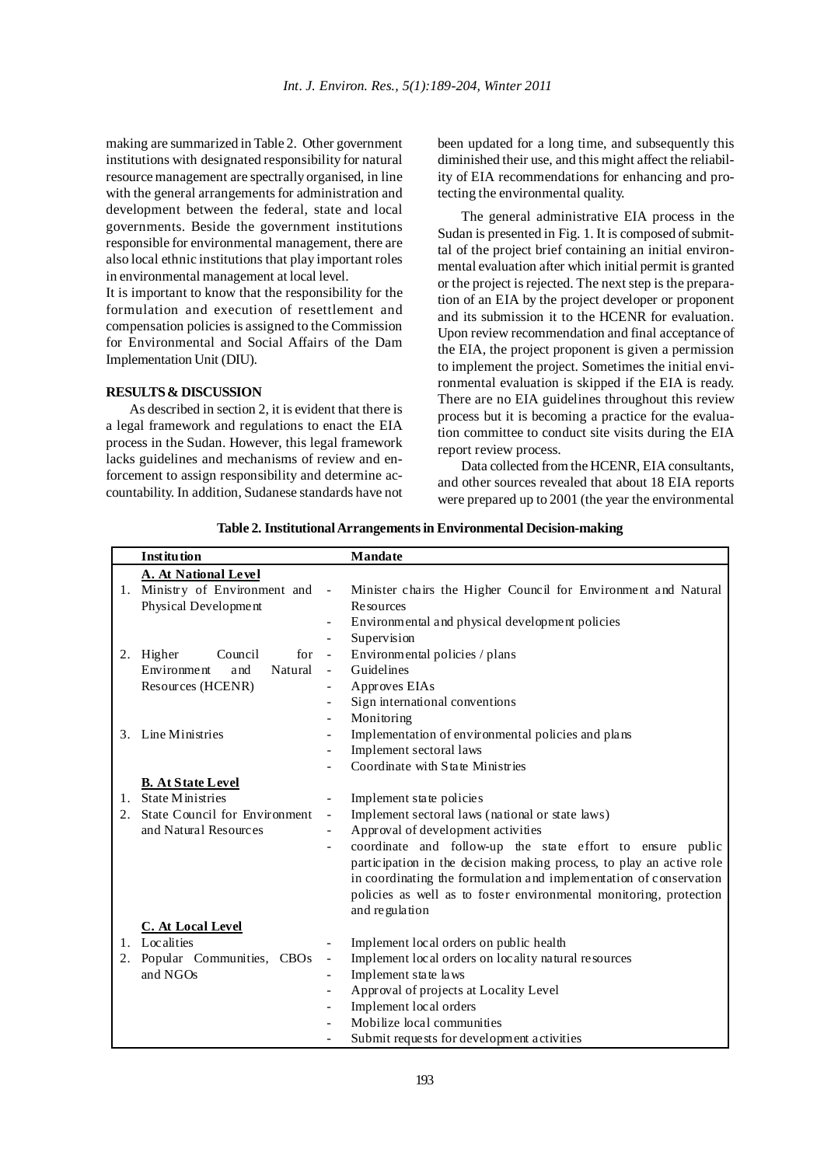making are summarized in Table 2. Other government institutions with designated responsibility for natural resource management are spectrally organised, in line with the general arrangements for administration and development between the federal, state and local governments. Beside the government institutions responsible for environmental management, there are also local ethnic institutions that play important roles in environmental management at local level.

It is important to know that the responsibility for the formulation and execution of resettlement and compensation policies is assigned to the Commission for Environmental and Social Affairs of the Dam Implementation Unit (DIU).

## **RESULTS & DISCUSSION**

As described in section 2, it is evident that there is a legal framework and regulations to enact the EIA process in the Sudan. However, this legal framework lacks guidelines and mechanisms of review and enforcement to assign responsibility and determine accountability. In addition, Sudanese standards have not been updated for a long time, and subsequently this diminished their use, and this might affect the reliability of EIA recommendations for enhancing and protecting the environmental quality.

The general administrative EIA process in the Sudan is presented in Fig. 1. It is composed of submittal of the project brief containing an initial environmental evaluation after which initial permit is granted or the project is rejected. The next step is the preparation of an EIA by the project developer or proponent and its submission it to the HCENR for evaluation. Upon review recommendation and final acceptance of the EIA, the project proponent is given a permission to implement the project. Sometimes the initial environmental evaluation is skipped if the EIA is ready. There are no EIA guidelines throughout this review process but it is becoming a practice for the evaluation committee to conduct site visits during the EIA report review process.

Data collected from the HCENR, EIA consultants, and other sources revealed that about 18 EIA reports were prepared up to 2001 (the year the environmental

|         | <b>Institution</b>                   |                          | <b>Mandate</b>                                                       |
|---------|--------------------------------------|--------------------------|----------------------------------------------------------------------|
|         | A. At National Level                 |                          |                                                                      |
|         | 1. Ministry of Environment and -     |                          | Minister chairs the Higher Council for Environment and Natural       |
|         | Physical Development                 |                          | <b>Resources</b>                                                     |
|         |                                      |                          | Environmental and physical development policies                      |
|         |                                      |                          | Supervision                                                          |
|         | 2. Higher<br>Council<br>for          | $\overline{\phantom{a}}$ | Environmental policies / plans                                       |
|         | Environment<br>Natural<br>and        |                          | Guidelines                                                           |
|         | Resources (HCENR)                    |                          | Approves EIAs                                                        |
|         |                                      | $\overline{\phantom{0}}$ | Sign international conventions                                       |
|         |                                      |                          | Monitoring                                                           |
| 3.      | Line Ministries                      | $\overline{\phantom{0}}$ | Implementation of environmental policies and plans                   |
|         |                                      |                          | Implement sectoral laws                                              |
|         |                                      |                          | Coordinate with State Ministries                                     |
|         | <b>B.</b> At State Level             |                          |                                                                      |
| $1_{-}$ | <b>State Ministries</b>              |                          | Implement state policies                                             |
|         | <b>State Council for Environment</b> | $\overline{\phantom{a}}$ | Implement sectoral laws (national or state laws)                     |
|         | and Natural Resources                |                          | Approval of development activities                                   |
|         |                                      |                          | coordinate and follow-up the state effort to ensure public           |
|         |                                      |                          | participation in the decision making process, to play an active role |
|         |                                      |                          | in coordinating the formulation and implementation of conservation   |
|         |                                      |                          | policies as well as to foster environmental monitoring, protection   |
|         |                                      |                          | and regulation                                                       |
|         | C. At Local Level                    |                          |                                                                      |
|         | 1. Localities                        | $\overline{\phantom{0}}$ | Implement local orders on public health                              |
| 2.      | Popular Communities, CBOs            | $\qquad \qquad -$        | Implement local orders on locality natural resources                 |
|         | and NGOs                             | $\overline{\phantom{0}}$ | Implement state laws                                                 |
|         |                                      |                          | Approval of projects at Locality Level                               |
|         |                                      |                          | Implement local orders                                               |
|         |                                      |                          | Mobilize local communities                                           |
|         |                                      |                          | Submit requests for development activities                           |

**Table 2. Institutional Arrangements in Environmental Decision-making**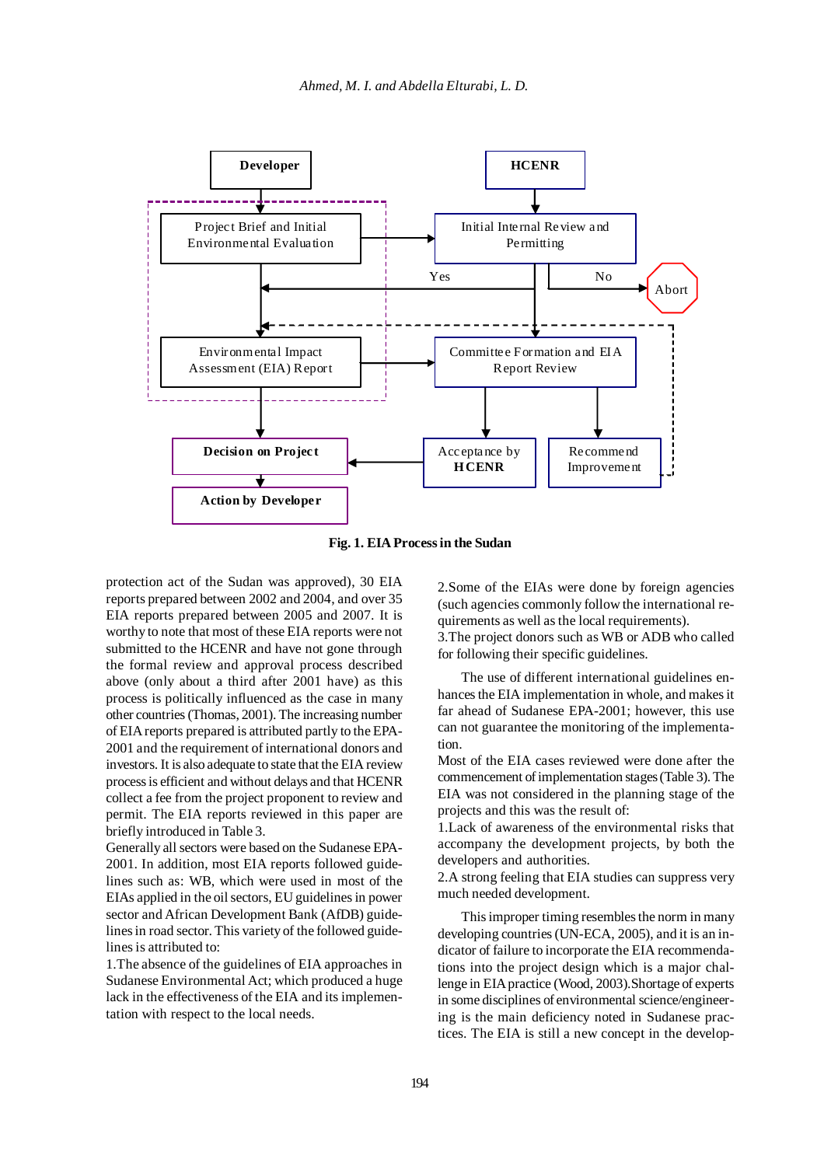

**Fig. 1. EIA Process in the Sudan**

protection act of the Sudan was approved), 30 EIA reports prepared between 2002 and 2004, and over 35 EIA reports prepared between 2005 and 2007. It is worthy to note that most of these EIA reports were not submitted to the HCENR and have not gone through the formal review and approval process described above (only about a third after 2001 have) as this process is politically influenced as the case in many other countries (Thomas, 2001). The increasing number of EIA reports prepared is attributed partly to the EPA-2001 and the requirement of international donors and investors. It is also adequate to state that the EIA review process is efficient and without delays and that HCENR collect a fee from the project proponent to review and permit. The EIA reports reviewed in this paper are briefly introduced in Table 3.

Generally all sectors were based on the Sudanese EPA-2001. In addition, most EIA reports followed guidelines such as: WB, which were used in most of the EIAs applied in the oil sectors, EU guidelines in power sector and African Development Bank (AfDB) guidelines in road sector. This variety of the followed guidelines is attributed to:

1.The absence of the guidelines of EIA approaches in Sudanese Environmental Act; which produced a huge lack in the effectiveness of the EIA and its implementation with respect to the local needs.

2.Some of the EIAs were done by foreign agencies (such agencies commonly follow the international requirements as well as the local requirements).

3.The project donors such as WB or ADB who called for following their specific guidelines.

The use of different international guidelines enhances the EIA implementation in whole, and makes it far ahead of Sudanese EPA-2001; however, this use can not guarantee the monitoring of the implementation.

Most of the EIA cases reviewed were done after the commencement of implementation stages (Table 3). The EIA was not considered in the planning stage of the projects and this was the result of:

1.Lack of awareness of the environmental risks that accompany the development projects, by both the developers and authorities.

2.A strong feeling that EIA studies can suppress very much needed development.

This improper timing resembles the norm in many developing countries (UN-ECA, 2005), and it is an indicator of failure to incorporate the EIA recommendations into the project design which is a major challenge in EIA practice (Wood, 2003).Shortage of experts in some disciplines of environmental science/engineering is the main deficiency noted in Sudanese practices. The EIA is still a new concept in the develop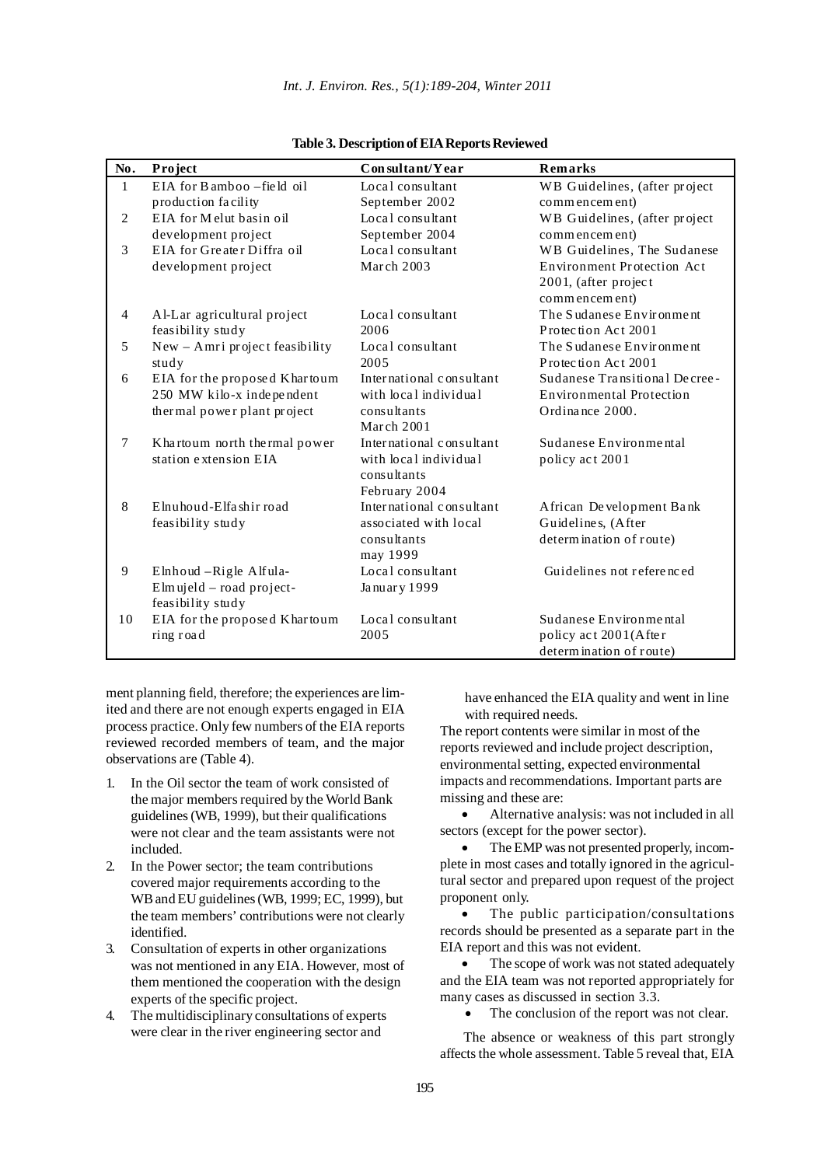*Int. J. Environ. Res., 5(1):189-204, Winter 2011*

| No.            | Project                           | Consultant/Year          | Remarks                         |
|----------------|-----------------------------------|--------------------------|---------------------------------|
| 1              | $EIA$ for $B$ amboo $-$ field oil | Local consultant         | WB Guidelines, (after project   |
|                | production facility               | September 2002           | commencement)                   |
| 2              | EIA for Melut basin oil           | Local consultant         | WB Guidelines, (after project)  |
|                | development project               | September 2004           | commencement)                   |
| 3              | EIA for Greater Diffra oil        | Local consultant         | WB Guidelines, The Sudanese     |
|                | development project               | March 2003               | Environment Protection Act      |
|                |                                   |                          | 2001, (after project            |
|                |                                   |                          | commencement)                   |
| $\overline{4}$ | Al-Lar agricultural project       | Local consultant         | The Sudanese Environment        |
|                | feasibility study                 | 2006                     | Protection Act 2001             |
| 5              | New - Amri project feasibility    | Local consultant         | The Sudanese Environment        |
|                | study                             | 2005                     | Protection Act 2001             |
| 6              | EIA for the proposed Khartoum     | International consultant | Sudanese Transitional Decree-   |
|                | 250 MW kilo-x independent         | with local individual    | <b>Environmental Protection</b> |
|                | thermal power plant project       | consultants              | Ordinance 2000.                 |
|                |                                   | March 2001               |                                 |
| $\tau$         | Khartoum north thermal power      | International consultant | Sudanese Environmental          |
|                | station extension EIA             | with local individual    | policy act 2001                 |
|                |                                   | consultants              |                                 |
|                |                                   | February 2004            |                                 |
| 8              | Elnuhoud-Elfashir road            | International consultant | African Development Bank        |
|                | feasibility study                 | associated with local    | Guidelines, (After              |
|                |                                   | consultants              | determination of route)         |
|                |                                   | may 1999                 |                                 |
| 9              | Elnhoud - Rigle Alfula-           | Local consultant         | Guidelines not referenced       |
|                | $Elm$ ujeld – road project-       | January 1999             |                                 |
|                | feasibility study                 |                          |                                 |
| 10             | EIA for the proposed Khartoum     | Local consultant         | Sudanese Environmental          |
|                | ring road                         | 2005                     | policy act 2001 (After          |
|                |                                   |                          | determination of route)         |

**Table 3. Description of EIA Reports Reviewed**

ment planning field, therefore; the experiences are limited and there are not enough experts engaged in EIA process practice. Only few numbers of the EIA reports reviewed recorded members of team, and the major observations are (Table 4).

- 1. In the Oil sector the team of work consisted of the major members required by the World Bank guidelines (WB, 1999), but their qualifications were not clear and the team assistants were not included.
- 2. In the Power sector; the team contributions covered major requirements according to the WB and EU guidelines (WB, 1999; EC, 1999), but the team members' contributions were not clearly identified.
- 3. Consultation of experts in other organizations was not mentioned in any EIA. However, most of them mentioned the cooperation with the design experts of the specific project.
- 4. The multidisciplinary consultations of experts were clear in the river engineering sector and

have enhanced the EIA quality and went in line with required needs.

The report contents were similar in most of the reports reviewed and include project description, environmental setting, expected environmental impacts and recommendations. Important parts are missing and these are:

• Alternative analysis: was not included in all sectors (except for the power sector).

• The EMP was not presented properly, incomplete in most cases and totally ignored in the agricultural sector and prepared upon request of the project proponent only.

The public participation/consultations records should be presented as a separate part in the EIA report and this was not evident.

The scope of work was not stated adequately and the EIA team was not reported appropriately for many cases as discussed in section 3.3.

The conclusion of the report was not clear.

The absence or weakness of this part strongly affects the whole assessment. Table 5 reveal that, EIA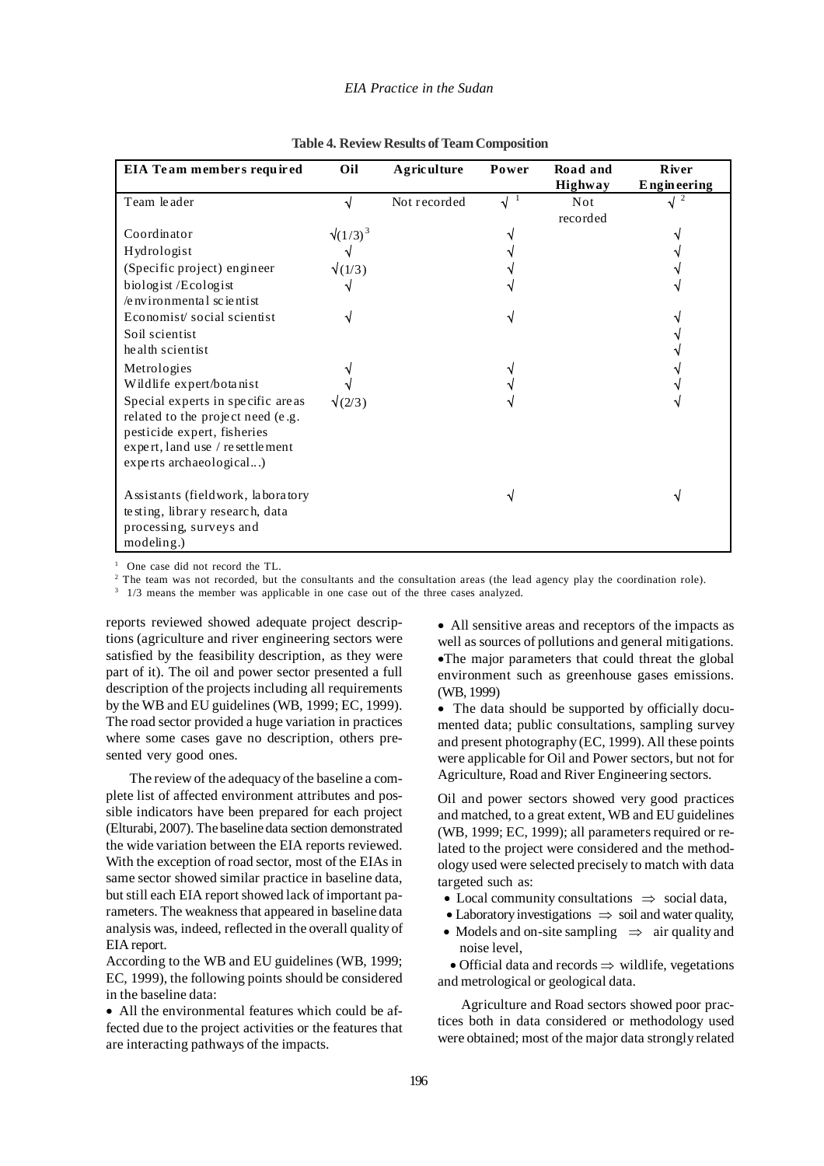### *EIA Practice in the Sudan*

| EIA Team members required                                             | Oil              | Agriculture  | Power | Road and               | <b>R</b> iver    |
|-----------------------------------------------------------------------|------------------|--------------|-------|------------------------|------------------|
|                                                                       |                  |              |       | <b>Highway</b>         | Engineering<br>2 |
| Team leader                                                           | ٦J               | Not recorded | √     | <b>Not</b><br>recorded |                  |
| Coordinator                                                           | $\sqrt{(1/3)^3}$ |              |       |                        |                  |
| Hydrologist                                                           |                  |              |       |                        |                  |
| (Specific project) engineer                                           | $\sqrt{(1/3)}$   |              |       |                        |                  |
| biologist /Ecologist                                                  |                  |              |       |                        |                  |
| $/e$ ny iron mental scientist                                         |                  |              |       |                        |                  |
| Economist/social scientist                                            |                  |              |       |                        |                  |
| Soil scientist                                                        |                  |              |       |                        |                  |
| he alth scientist                                                     |                  |              |       |                        |                  |
| Metrologies                                                           |                  |              |       |                        |                  |
| Wildlife expert/botanist                                              |                  |              |       |                        |                  |
| Special experts in specific areas                                     | $\sqrt{(2/3)}$   |              |       |                        |                  |
| related to the project need (e.g.                                     |                  |              |       |                        |                  |
| pesticide expert, fisheries<br>$\exp$ expert, land use / resettlement |                  |              |       |                        |                  |
| experts archaeological)                                               |                  |              |       |                        |                  |
|                                                                       |                  |              |       |                        |                  |
| Assistants (fieldwork, laboratory                                     |                  |              |       |                        |                  |
| te sting, library research, data                                      |                  |              |       |                        |                  |
| processing, surveys and                                               |                  |              |       |                        |                  |
| modeling.)                                                            |                  |              |       |                        |                  |

#### **Table 4. Review Results of Team Composition**

1 One case did not record the TL.

<sup>2</sup> The team was not recorded, but the consultants and the consultation areas (the lead agency play the coordination role).

<sup>3</sup> 1/3 means the member was applicable in one case out of the three cases analyzed.

reports reviewed showed adequate project descriptions (agriculture and river engineering sectors were satisfied by the feasibility description, as they were part of it). The oil and power sector presented a full description of the projects including all requirements by the WB and EU guidelines (WB, 1999; EC, 1999). The road sector provided a huge variation in practices where some cases gave no description, others presented very good ones.

The review of the adequacy of the baseline a complete list of affected environment attributes and possible indicators have been prepared for each project (Elturabi, 2007). The baseline data section demonstrated the wide variation between the EIA reports reviewed. With the exception of road sector, most of the EIAs in same sector showed similar practice in baseline data, but still each EIA report showed lack of important parameters. The weakness that appeared in baseline data analysis was, indeed, reflected in the overall quality of EIA report.

According to the WB and EU guidelines (WB, 1999; EC, 1999), the following points should be considered in the baseline data:

• All the environmental features which could be affected due to the project activities or the features that are interacting pathways of the impacts.

• All sensitive areas and receptors of the impacts as well as sources of pollutions and general mitigations. •The major parameters that could threat the global environment such as greenhouse gases emissions. (WB, 1999)

• The data should be supported by officially documented data; public consultations, sampling survey and present photography (EC, 1999). All these points were applicable for Oil and Power sectors, but not for Agriculture, Road and River Engineering sectors.

Oil and power sectors showed very good practices and matched, to a great extent, WB and EU guidelines (WB, 1999; EC, 1999); all parameters required or related to the project were considered and the methodology used were selected precisely to match with data targeted such as:

- Local community consultations  $\Rightarrow$  social data,
- Laboratory investigations ⇒ soil and water quality,
- Models and on-site sampling ⇒ air quality and noise level,

 • Official data and records ⇒ wildlife, vegetations and metrological or geological data.

Agriculture and Road sectors showed poor practices both in data considered or methodology used were obtained; most of the major data strongly related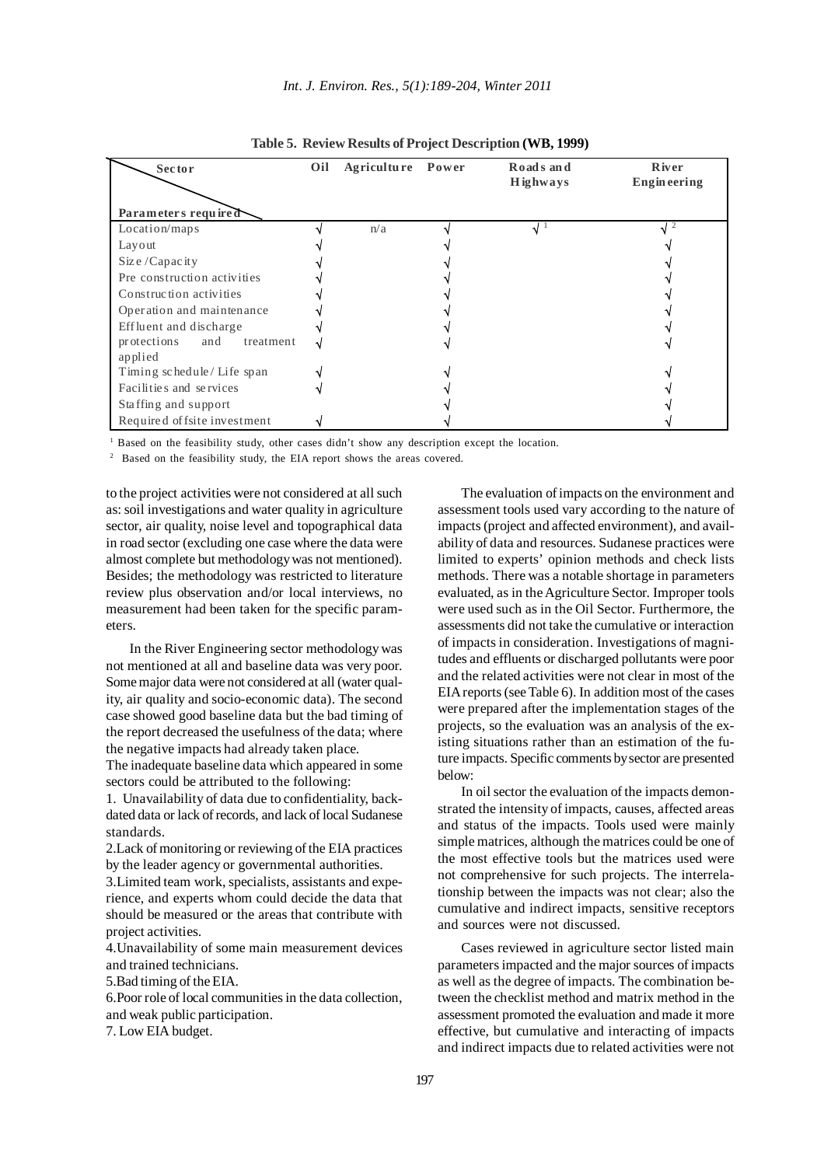| <b>Sector</b>                              | Oil | Agriculture Power | Roads and<br><b>H</b> ighways | River<br><b>Engineering</b> |
|--------------------------------------------|-----|-------------------|-------------------------------|-----------------------------|
| Parameters required                        |     |                   |                               |                             |
| Location/maps                              |     | n/a               | $\sqrt{1}$                    |                             |
| Layout                                     |     |                   |                               |                             |
| Size / Capacity                            |     |                   |                               |                             |
| Pre construction activities                |     |                   |                               |                             |
| Construction activities                    |     |                   |                               |                             |
| Operation and maintenance                  |     |                   |                               |                             |
| Effluent and discharge                     |     |                   |                               |                             |
| protections<br>and<br>treatment<br>applied |     |                   |                               |                             |
| Timing schedule/Life span                  |     |                   |                               |                             |
| Facilities and services                    |     |                   |                               |                             |
| Staffing and support                       |     |                   |                               |                             |
| Required of fsite investment               |     |                   |                               |                             |

**Table 5. Review Results of Project Description (WB, 1999)**

<sup>1</sup> Based on the feasibility study, other cases didn't show any description except the location.

<sup>2</sup> Based on the feasibility study, the EIA report shows the areas covered.

to the project activities were not considered at all such as: soil investigations and water quality in agriculture sector, air quality, noise level and topographical data in road sector (excluding one case where the data were almost complete but methodology was not mentioned). Besides; the methodology was restricted to literature review plus observation and/or local interviews, no measurement had been taken for the specific parameters.

In the River Engineering sector methodology was not mentioned at all and baseline data was very poor. Some major data were not considered at all (water quality, air quality and socio-economic data). The second case showed good baseline data but the bad timing of the report decreased the usefulness of the data; where the negative impacts had already taken place.

The inadequate baseline data which appeared in some sectors could be attributed to the following:

1. Unavailability of data due to confidentiality, backdated data or lack of records, and lack of local Sudanese standards.

2.Lack of monitoring or reviewing of the EIA practices by the leader agency or governmental authorities.

3.Limited team work, specialists, assistants and experience, and experts whom could decide the data that should be measured or the areas that contribute with project activities.

4.Unavailability of some main measurement devices and trained technicians.

5.Bad timing of the EIA.

6.Poor role of local communities in the data collection, and weak public participation. 7. Low EIA budget.

assessment tools used vary according to the nature of impacts (project and affected environment), and availability of data and resources. Sudanese practices were limited to experts' opinion methods and check lists methods. There was a notable shortage in parameters evaluated, as in the Agriculture Sector. Improper tools were used such as in the Oil Sector. Furthermore, the assessments did not take the cumulative or interaction of impacts in consideration. Investigations of magnitudes and effluents or discharged pollutants were poor and the related activities were not clear in most of the EIA reports (see Table 6). In addition most of the cases were prepared after the implementation stages of the projects, so the evaluation was an analysis of the existing situations rather than an estimation of the future impacts. Specific comments by sector are presented below:

The evaluation of impacts on the environment and

In oil sector the evaluation of the impacts demonstrated the intensity of impacts, causes, affected areas and status of the impacts. Tools used were mainly simple matrices, although the matrices could be one of the most effective tools but the matrices used were not comprehensive for such projects. The interrelationship between the impacts was not clear; also the cumulative and indirect impacts, sensitive receptors and sources were not discussed.

Cases reviewed in agriculture sector listed main parameters impacted and the major sources of impacts as well as the degree of impacts. The combination between the checklist method and matrix method in the assessment promoted the evaluation and made it more effective, but cumulative and interacting of impacts and indirect impacts due to related activities were not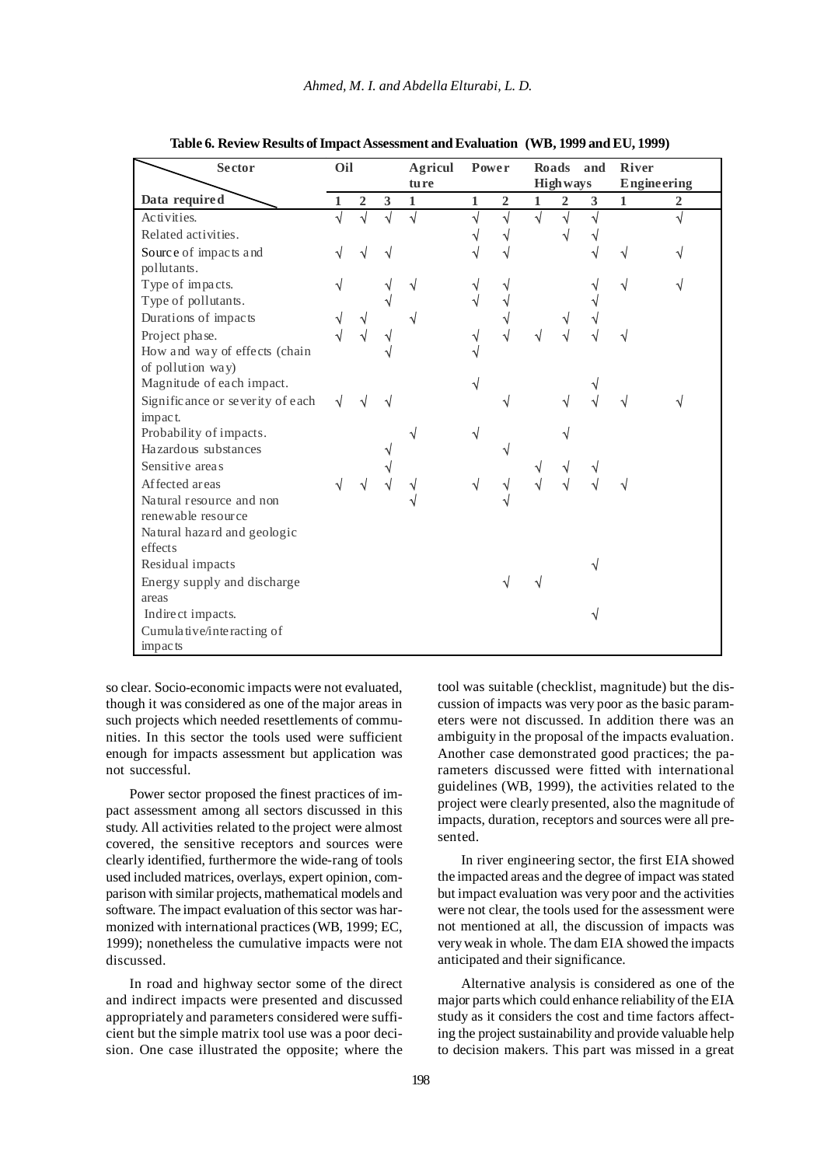| <b>Sector</b>                               | Oil |                |   | <b>Agricul</b><br>tu re |    | <b>Power</b>   |              | Roads<br><b>High ways</b> | and | <b>River</b> | Engineering    |
|---------------------------------------------|-----|----------------|---|-------------------------|----|----------------|--------------|---------------------------|-----|--------------|----------------|
| Data required                               |     | $\overline{2}$ | 3 | 1                       | 1  | $\overline{2}$ | $\mathbf{1}$ | $\overline{2}$            | 3   | $\mathbf{1}$ | $\overline{2}$ |
| Activities.                                 |     |                |   |                         |    | ٦l             | J            |                           | N   |              |                |
| Related activities.                         |     |                |   |                         |    |                |              |                           |     |              |                |
| Source of impacts and<br>pollutants.        |     |                |   |                         |    |                |              |                           |     | √            |                |
| Type of impacts.                            |     |                |   |                         |    |                |              |                           |     | √            |                |
| Type of pollutants.                         |     |                |   |                         | √  |                |              |                           |     |              |                |
| Durations of impacts                        |     |                |   |                         |    |                |              |                           |     |              |                |
| Project phase.                              |     |                | V |                         | √  |                |              |                           |     |              |                |
| How and way of effects (chain               |     |                |   |                         |    |                |              |                           |     |              |                |
| of pollution way)                           |     |                |   |                         |    |                |              |                           |     |              |                |
| Magnitude of each impact.                   |     |                |   |                         | ٦I |                |              |                           |     |              |                |
| Significance or severity of each<br>impact. | V   |                |   |                         |    |                |              |                           |     |              |                |
| Probability of impacts.                     |     |                |   |                         | ٦I |                |              |                           |     |              |                |
| Hazardous substances                        |     |                |   |                         |    |                |              |                           |     |              |                |
| Sensitive areas                             |     |                |   |                         |    |                |              |                           |     |              |                |
| Affected areas                              | √   |                |   |                         | V  |                |              |                           |     |              |                |
| Natural resource and non                    |     |                |   |                         |    |                |              |                           |     |              |                |
| renewable resource                          |     |                |   |                         |    |                |              |                           |     |              |                |
| Natural hazard and geologic                 |     |                |   |                         |    |                |              |                           |     |              |                |
| effects                                     |     |                |   |                         |    |                |              |                           |     |              |                |
| Residual impacts                            |     |                |   |                         |    |                |              |                           |     |              |                |
| Energy supply and discharge                 |     |                |   |                         |    |                |              |                           |     |              |                |
| areas                                       |     |                |   |                         |    |                |              |                           |     |              |                |
| Indirect impacts.                           |     |                |   |                         |    |                |              |                           |     |              |                |
| Cumulative/interacting of<br>impacts        |     |                |   |                         |    |                |              |                           |     |              |                |
|                                             |     |                |   |                         |    |                |              |                           |     |              |                |

**Table 6. Review Results of Impact Assessment and Evaluation (WB, 1999 and EU, 1999)**

so clear. Socio-economic impacts were not evaluated, though it was considered as one of the major areas in such projects which needed resettlements of communities. In this sector the tools used were sufficient enough for impacts assessment but application was not successful.

Power sector proposed the finest practices of impact assessment among all sectors discussed in this study. All activities related to the project were almost covered, the sensitive receptors and sources were clearly identified, furthermore the wide-rang of tools used included matrices, overlays, expert opinion, comparison with similar projects, mathematical models and software. The impact evaluation of this sector was harmonized with international practices (WB, 1999; EC, 1999); nonetheless the cumulative impacts were not discussed.

In road and highway sector some of the direct and indirect impacts were presented and discussed appropriately and parameters considered were sufficient but the simple matrix tool use was a poor decision. One case illustrated the opposite; where the

tool was suitable (checklist, magnitude) but the discussion of impacts was very poor as the basic parameters were not discussed. In addition there was an ambiguity in the proposal of the impacts evaluation. Another case demonstrated good practices; the parameters discussed were fitted with international guidelines (WB, 1999), the activities related to the project were clearly presented, also the magnitude of impacts, duration, receptors and sources were all presented.

In river engineering sector, the first EIA showed the impacted areas and the degree of impact was stated but impact evaluation was very poor and the activities were not clear, the tools used for the assessment were not mentioned at all, the discussion of impacts was very weak in whole. The dam EIA showed the impacts anticipated and their significance.

Alternative analysis is considered as one of the major parts which could enhance reliability of the EIA study as it considers the cost and time factors affecting the project sustainability and provide valuable help to decision makers. This part was missed in a great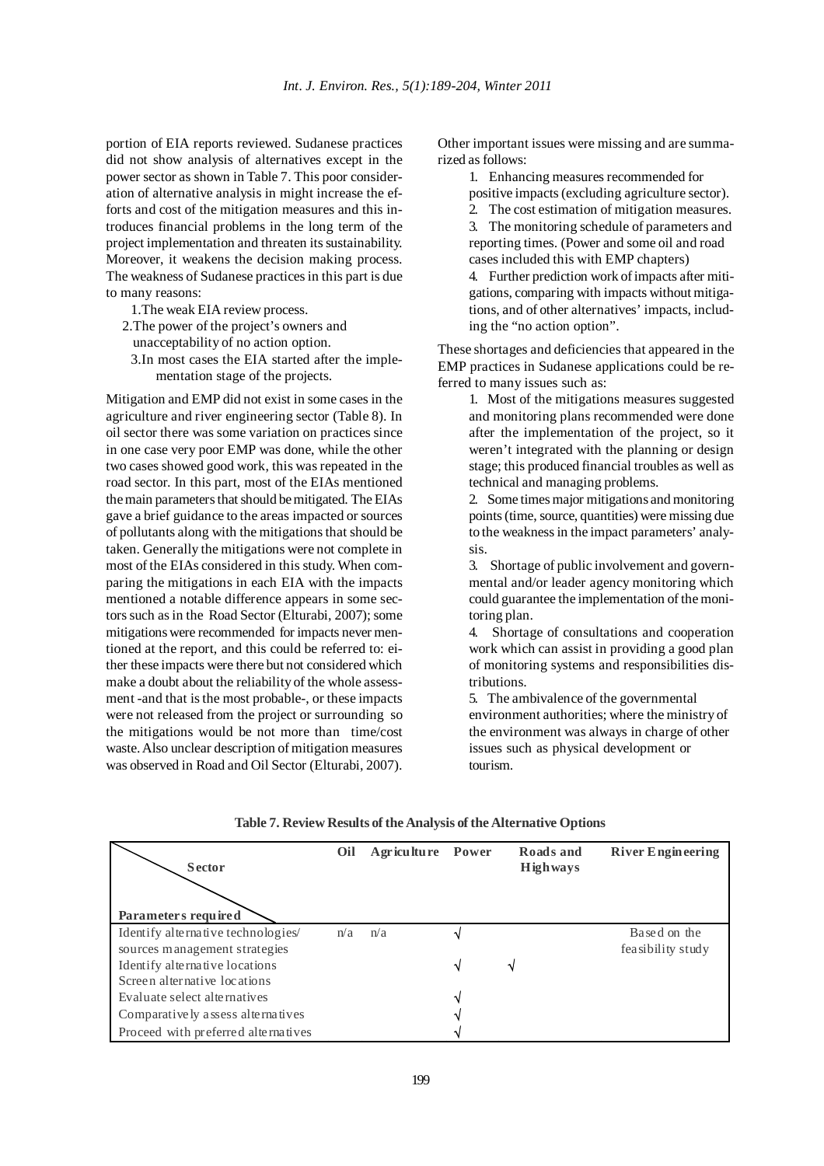portion of EIA reports reviewed. Sudanese practices did not show analysis of alternatives except in the power sector as shown in Table 7. This poor consideration of alternative analysis in might increase the efforts and cost of the mitigation measures and this introduces financial problems in the long term of the project implementation and threaten its sustainability. Moreover, it weakens the decision making process. The weakness of Sudanese practices in this part is due to many reasons:

1.The weak EIA review process.

2.The power of the project's owners and

unacceptability of no action option.

3.In most cases the EIA started after the implementation stage of the projects.

Mitigation and EMP did not exist in some cases in the agriculture and river engineering sector (Table 8). In oil sector there was some variation on practices since in one case very poor EMP was done, while the other two cases showed good work, this was repeated in the road sector. In this part, most of the EIAs mentioned the main parameters that should be mitigated. The EIAs gave a brief guidance to the areas impacted or sources of pollutants along with the mitigations that should be taken. Generally the mitigations were not complete in most of the EIAs considered in this study. When comparing the mitigations in each EIA with the impacts mentioned a notable difference appears in some sectors such as in the Road Sector (Elturabi, 2007); some mitigations were recommended for impacts never mentioned at the report, and this could be referred to: either these impacts were there but not considered which make a doubt about the reliability of the whole assessment -and that is the most probable-, or these impacts were not released from the project or surrounding so the mitigations would be not more than time/cost waste. Also unclear description of mitigation measures was observed in Road and Oil Sector (Elturabi, 2007).

Other important issues were missing and are summarized as follows:

1. Enhancing measures recommended for

positive impacts (excluding agriculture sector).

2. The cost estimation of mitigation measures. 3. The monitoring schedule of parameters and

reporting times. (Power and some oil and road cases included this with EMP chapters)

4. Further prediction work of impacts after mitigations, comparing with impacts without mitigations, and of other alternatives' impacts, including the "no action option".

These shortages and deficiencies that appeared in the EMP practices in Sudanese applications could be referred to many issues such as:

> 1. Most of the mitigations measures suggested and monitoring plans recommended were done after the implementation of the project, so it weren't integrated with the planning or design stage; this produced financial troubles as well as technical and managing problems.

> 2. Some times major mitigations and monitoring points (time, source, quantities) were missing due to the weakness in the impact parameters' analysis.

> 3. Shortage of public involvement and governmental and/or leader agency monitoring which could guarantee the implementation of the monitoring plan.

> 4. Shortage of consultations and cooperation work which can assist in providing a good plan of monitoring systems and responsibilities distributions.

5. The ambivalence of the governmental environment authorities; where the ministry of the environment was always in charge of other issues such as physical development or tourism.

| Sector<br>Parameters required       | Oil | Agriculture Power |    | Roads and<br><b>High ways</b> | <b>River Engineering</b> |
|-------------------------------------|-----|-------------------|----|-------------------------------|--------------------------|
| Identify alternative technologies   | n/a | n/a               |    |                               | Based on the             |
| sources management strategies       |     |                   |    |                               | feasibility study        |
| Identify alternative locations      |     |                   | ิง | ٦                             |                          |
| Screen alternative locations        |     |                   |    |                               |                          |
| Evaluate select alternatives        |     |                   | N  |                               |                          |
| Comparatively assess alternatives   |     |                   |    |                               |                          |
| Proceed with preferred alternatives |     |                   |    |                               |                          |

**Table 7. Review Results of the Analysis of the Alternative Options**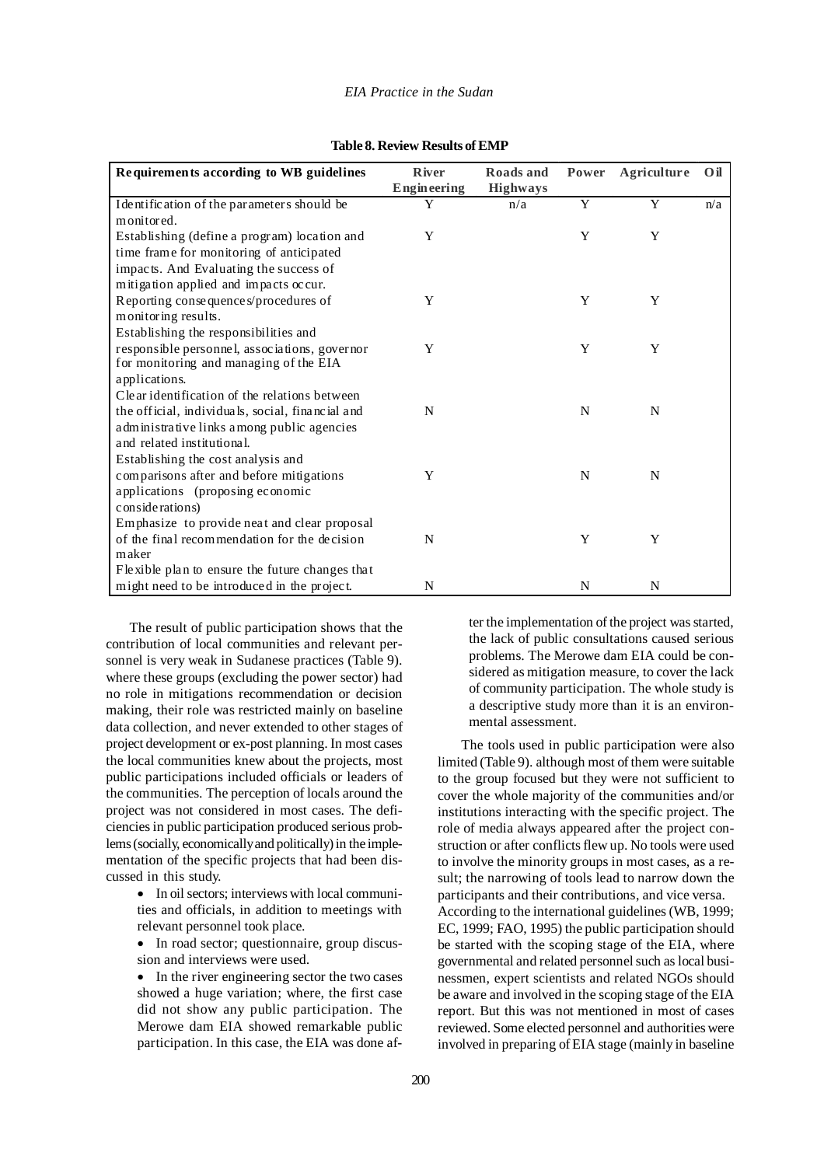#### *EIA Practice in the Sudan*

| Requirements according to WB guidelines          | <b>River</b> | Roads and       | Power | Agriculture | O <sub>il</sub> |
|--------------------------------------------------|--------------|-----------------|-------|-------------|-----------------|
|                                                  | Engineering  | <b>Highways</b> |       |             |                 |
| I dentification of the parameters should be      | Y            | n/a             | Y     | Y           | n/a             |
| monitored.                                       |              |                 |       |             |                 |
| Establishing (define a program) location and     | Y            |                 | Y     | Y           |                 |
| time frame for monitoring of anticipated         |              |                 |       |             |                 |
| impacts. And Evaluating the success of           |              |                 |       |             |                 |
| mitigation applied and impacts occur.            |              |                 |       |             |                 |
| Reporting consequences/procedures of             | Y            |                 | Y     | Y           |                 |
| monitoring results.                              |              |                 |       |             |                 |
| Establishing the responsibilities and            |              |                 |       |             |                 |
| responsible personnel, associations, governor    | Y            |                 | Y     | Y           |                 |
| for monitoring and managing of the EIA           |              |                 |       |             |                 |
| applications.                                    |              |                 |       |             |                 |
| Clear identification of the relations between    |              |                 |       |             |                 |
| the official, individuals, social, financial and | N            |                 | N     | N           |                 |
| administrative links among public agencies       |              |                 |       |             |                 |
| and related institutional.                       |              |                 |       |             |                 |
| Establishing the cost analysis and               |              |                 |       |             |                 |
| comparisons after and before mitigations         | Y            |                 | N     | N           |                 |
| applications (proposing economic                 |              |                 |       |             |                 |
| considerations)                                  |              |                 |       |             |                 |
| Emphasize to provide neat and clear proposal     |              |                 |       |             |                 |
| of the final recommendation for the decision     | N            |                 | Y     | Y           |                 |
| maker                                            |              |                 |       |             |                 |
| Flexible plan to ensure the future changes that  |              |                 |       |             |                 |
| might need to be introduced in the project.      | N            |                 | N     | N           |                 |

| Table 8. Review Results of EMP |
|--------------------------------|
|--------------------------------|

The result of public participation shows that the contribution of local communities and relevant personnel is very weak in Sudanese practices (Table 9). where these groups (excluding the power sector) had no role in mitigations recommendation or decision making, their role was restricted mainly on baseline data collection, and never extended to other stages of project development or ex-post planning. In most cases the local communities knew about the projects, most public participations included officials or leaders of the communities. The perception of locals around the project was not considered in most cases. The deficiencies in public participation produced serious problems (socially, economically and politically) in the implementation of the specific projects that had been discussed in this study.

> • In oil sectors; interviews with local communities and officials, in addition to meetings with relevant personnel took place.

> • In road sector; questionnaire, group discussion and interviews were used.

> • In the river engineering sector the two cases showed a huge variation; where, the first case did not show any public participation. The Merowe dam EIA showed remarkable public participation. In this case, the EIA was done af

ter the implementation of the project was started, the lack of public consultations caused serious problems. The Merowe dam EIA could be considered as mitigation measure, to cover the lack of community participation. The whole study is a descriptive study more than it is an environmental assessment.

The tools used in public participation were also limited (Table 9). although most of them were suitable to the group focused but they were not sufficient to cover the whole majority of the communities and/or institutions interacting with the specific project. The role of media always appeared after the project construction or after conflicts flew up. No tools were used to involve the minority groups in most cases, as a result; the narrowing of tools lead to narrow down the participants and their contributions, and vice versa. According to the international guidelines (WB, 1999; EC, 1999; FAO, 1995) the public participation should be started with the scoping stage of the EIA, where governmental and related personnel such as local businessmen, expert scientists and related NGOs should be aware and involved in the scoping stage of the EIA report. But this was not mentioned in most of cases reviewed. Some elected personnel and authorities were involved in preparing of EIA stage (mainly in baseline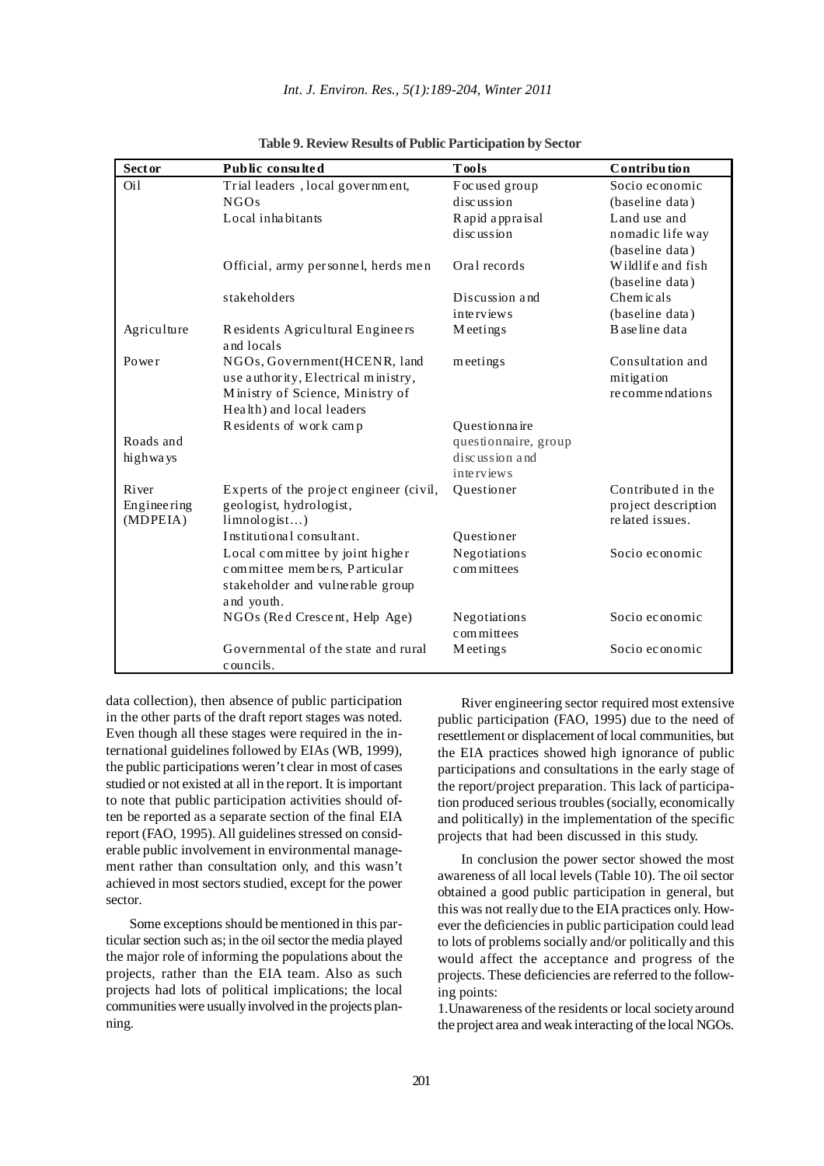| <b>Sector</b>    | Public consulted                               | <b>Tools</b>         | Contribution        |
|------------------|------------------------------------------------|----------------------|---------------------|
| O <sub>i</sub> 1 | Trial leaders, local government,               | Focused group        | Socio economic      |
|                  | NGOs                                           | discussion           | (baseline data)     |
|                  | Local inhabitants                              | Rapid appraisal      | Land use and        |
|                  |                                                | discussion           | nomadic life way    |
|                  |                                                |                      | (baseline data)     |
|                  | Official, army per sonnel, herds men           | Oral records         | Wildlife and fish   |
|                  |                                                |                      | (baseline data)     |
|                  | stakeholders                                   | Discussion and       | Chem icals          |
|                  |                                                | interviews           | (baseline data)     |
| Agriculture      | Residents Agricultural Engineers<br>and locals | Meetings             | B ase line data     |
| Power            | NGOs, Government (HCENR, land                  | meetings             | Consultation and    |
|                  | use authority, Electrical ministry,            |                      | mitigation          |
|                  | Ministry of Science, Ministry of               |                      | recommendations     |
|                  | Health) and local leaders                      |                      |                     |
|                  | Residents of work camp                         | Questionnaire        |                     |
| Roads and        |                                                | questionnaire, group |                     |
| highways         |                                                | discussion and       |                     |
|                  |                                                | <i>interviews</i>    |                     |
| River            | Experts of the project engineer (civil,        | Questioner           | Contributed in the  |
| Engineering      | geologist, hydrologist,                        |                      | project description |
| (MDPEIA)         | limnologist                                    |                      | related issues.     |
|                  | Institutional consultant.                      | Questioner           |                     |
|                  | Local committee by joint higher                | Negotiations         | Socio economic      |
|                  | committee members, Particular                  | committees           |                     |
|                  | stakeholder and vulnerable group               |                      |                     |
|                  | and youth.                                     |                      |                     |
|                  | NGOs (Red Crescent, Help Age)                  | Negotiations         | Socio economic      |
|                  |                                                | committees           |                     |
|                  | Governmental of the state and rural            | Meetings             | Socio economic      |
|                  | councils.                                      |                      |                     |

**Table 9. Review Results of Public Participation by Sector**

data collection), then absence of public participation in the other parts of the draft report stages was noted. Even though all these stages were required in the international guidelines followed by EIAs (WB, 1999), the public participations weren't clear in most of cases studied or not existed at all in the report. It is important to note that public participation activities should often be reported as a separate section of the final EIA report (FAO, 1995). All guidelines stressed on considerable public involvement in environmental management rather than consultation only, and this wasn't achieved in most sectors studied, except for the power sector.

Some exceptions should be mentioned in this particular section such as; in the oil sector the media played the major role of informing the populations about the projects, rather than the EIA team. Also as such projects had lots of political implications; the local communities were usually involved in the projects planning.

River engineering sector required most extensive public participation (FAO, 1995) due to the need of resettlement or displacement of local communities, but the EIA practices showed high ignorance of public participations and consultations in the early stage of the report/project preparation. This lack of participation produced serious troubles (socially, economically and politically) in the implementation of the specific projects that had been discussed in this study.

In conclusion the power sector showed the most awareness of all local levels (Table 10). The oil sector obtained a good public participation in general, but this was not really due to the EIA practices only. However the deficiencies in public participation could lead to lots of problems socially and/or politically and this would affect the acceptance and progress of the projects. These deficiencies are referred to the following points:

1.Unawareness of the residents or local society around the project area and weak interacting of the local NGOs.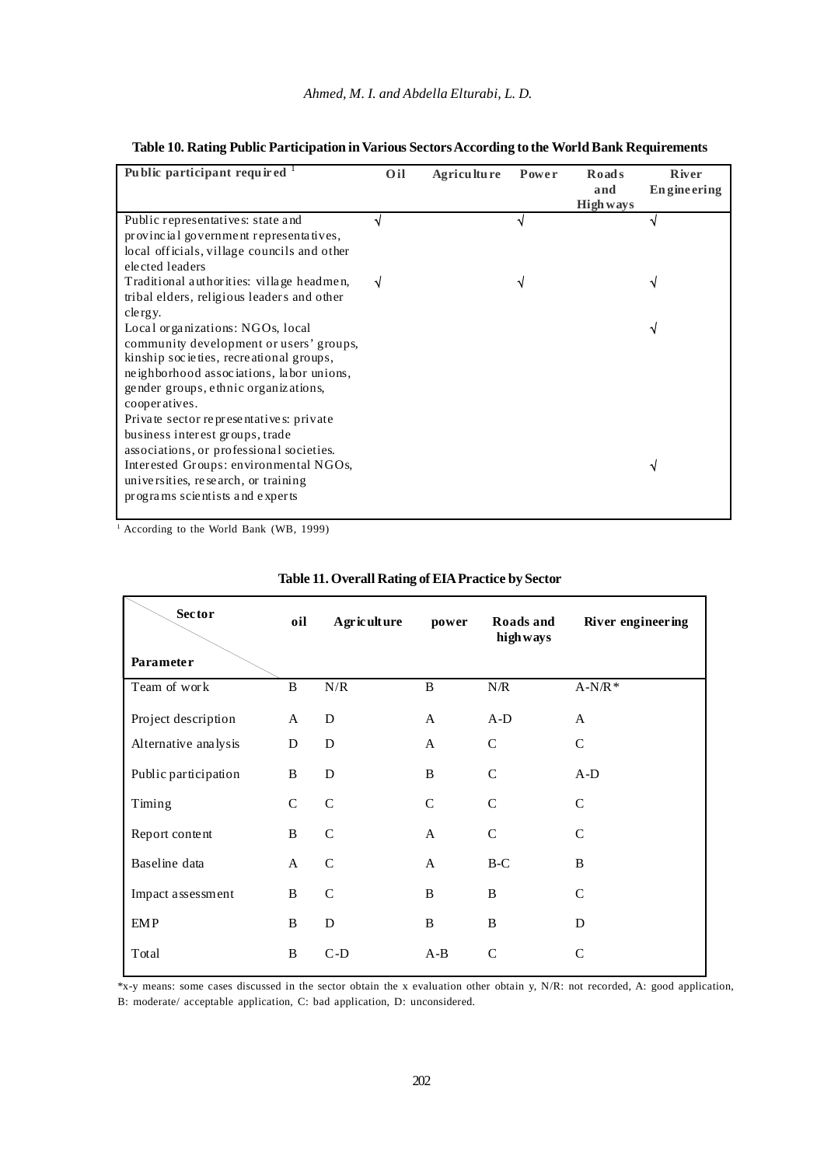| Public participant required <sup>1</sup>                                                                                                                                                                                                                                                                                                              | Oil | Agriculture | Power | <b>Roads</b><br>and<br><b>High ways</b> | <b>R</b> iver<br><b>Engineering</b> |
|-------------------------------------------------------------------------------------------------------------------------------------------------------------------------------------------------------------------------------------------------------------------------------------------------------------------------------------------------------|-----|-------------|-------|-----------------------------------------|-------------------------------------|
| Public representative s: state and<br>provincial government representatives,<br>local officials, village councils and other<br>elected leaders                                                                                                                                                                                                        | V   |             | ٦J    |                                         | V                                   |
| Traditional authorities: village headmen,<br>tribal elders, religious leaders and other<br>clergy.                                                                                                                                                                                                                                                    | V   |             | ٦J    |                                         | ٧                                   |
| Local organizations: NGOs, local<br>community development or users' groups,<br>kinship societies, recreational groups,<br>neighborhood associations, labor unions,<br>gender groups, ethnic organizations,<br>cooperatives.<br>Private sector representatives: private<br>business interest groups, trade<br>associations, or professional societies. |     |             |       |                                         | V                                   |
| Interested Groups: environmental NGOs,<br>universities, research, or training<br>programs scientists and experts                                                                                                                                                                                                                                      |     |             |       |                                         | V                                   |

|  | Table 10. Rating Public Participation in Various Sectors According to the World Bank Requirements |
|--|---------------------------------------------------------------------------------------------------|
|  |                                                                                                   |

<sup>1</sup> According to the World Bank (WB, 1999)

| <b>Sector</b>        | oil           | <b>Agriculture</b> | power         | Roads and<br>highways | River engineering |
|----------------------|---------------|--------------------|---------------|-----------------------|-------------------|
| Parameter            |               |                    |               |                       |                   |
| Team of work         | B             | ${\bf N}/{\bf R}$  | B             | N/R                   | $A-N/R*$          |
| Project description  | A             | D                  | A             | $A-D$                 | A                 |
| Alternative analysis | D             | D                  | $\mathbf{A}$  | $\mathsf{C}$          | $\mathsf{C}$      |
| Public participation | B             | D                  | B             | $\mathsf{C}$          | $A-D$             |
| Timing               | $\mathcal{C}$ | $\mathcal{C}$      | $\mathcal{C}$ | $\mathcal{C}$         | $\mathcal{C}$     |
| Report content       | B             | $\mathbf C$        | $\mathbf{A}$  | $\mathsf{C}$          | $\mathcal{C}$     |
| Baseline data        | A             | $\mathbf C$        | $\mathbf{A}$  | $B-C$                 | $\bf{B}$          |
| Impact assessment    | B             | $\mathcal{C}$      | B             | B                     | $\mathsf{C}$      |
| <b>EMP</b>           | B             | D                  | B             | B                     | D                 |
| Total                | B             | $C-D$              | $A-B$         | C                     | $\mathcal{C}$     |

# **Table 11. Overall Rating of EIA Practice by Sector**

\*x-y means: some cases discussed in the sector obtain the x evaluation other obtain y, N/R: not recorded, A: good application, B: moderate/ acceptable application, C: bad application, D: unconsidered.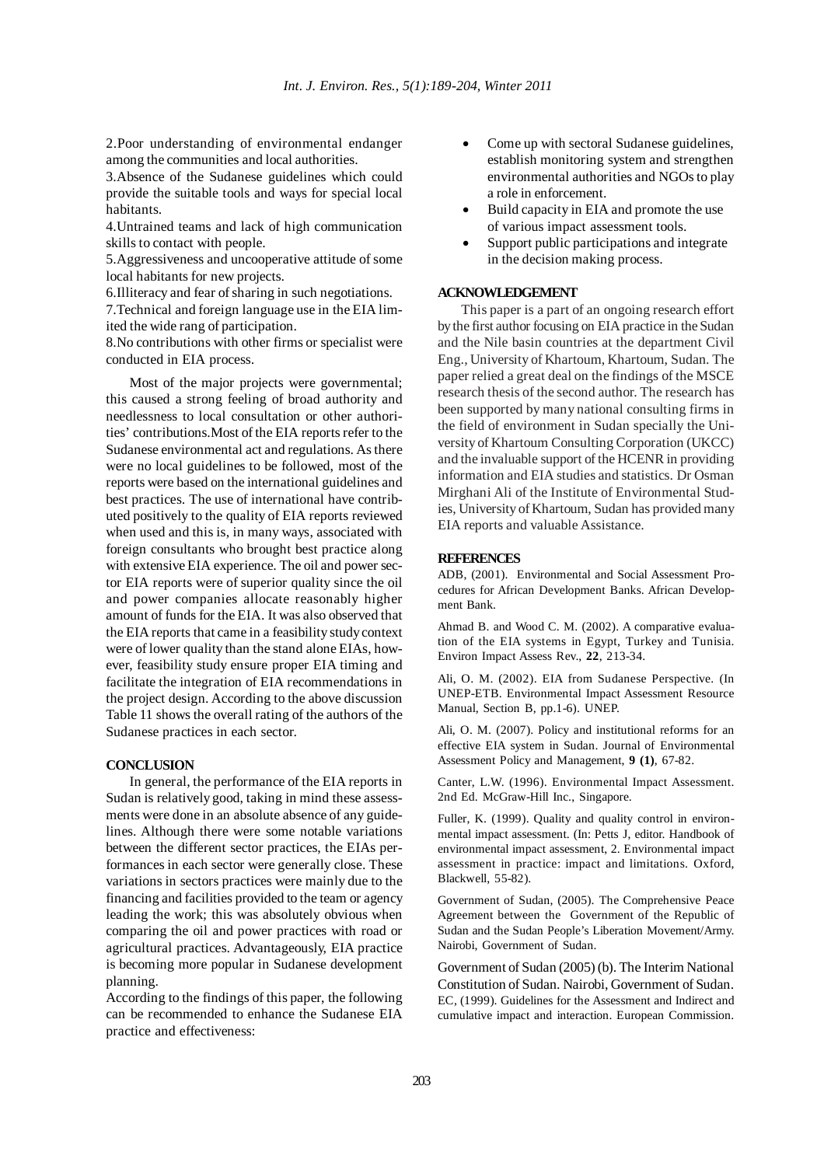2.Poor understanding of environmental endanger among the communities and local authorities.

3.Absence of the Sudanese guidelines which could provide the suitable tools and ways for special local habitants.

4.Untrained teams and lack of high communication skills to contact with people.

5.Aggressiveness and uncooperative attitude of some local habitants for new projects.

6.Illiteracy and fear of sharing in such negotiations.

7.Technical and foreign language use in the EIA limited the wide rang of participation.

8.No contributions with other firms or specialist were conducted in EIA process.

Most of the major projects were governmental; this caused a strong feeling of broad authority and needlessness to local consultation or other authorities' contributions.Most of the EIA reports refer to the Sudanese environmental act and regulations. As there were no local guidelines to be followed, most of the reports were based on the international guidelines and best practices. The use of international have contributed positively to the quality of EIA reports reviewed when used and this is, in many ways, associated with foreign consultants who brought best practice along with extensive EIA experience. The oil and power sector EIA reports were of superior quality since the oil and power companies allocate reasonably higher amount of funds for the EIA. It was also observed that the EIA reports that came in a feasibility study context were of lower quality than the stand alone EIAs, however, feasibility study ensure proper EIA timing and facilitate the integration of EIA recommendations in the project design. According to the above discussion Table 11 shows the overall rating of the authors of the Sudanese practices in each sector.

## **CONCLUSION**

In general, the performance of the EIA reports in Sudan is relatively good, taking in mind these assessments were done in an absolute absence of any guidelines. Although there were some notable variations between the different sector practices, the EIAs performances in each sector were generally close. These variations in sectors practices were mainly due to the financing and facilities provided to the team or agency leading the work; this was absolutely obvious when comparing the oil and power practices with road or agricultural practices. Advantageously, EIA practice is becoming more popular in Sudanese development planning.

According to the findings of this paper, the following can be recommended to enhance the Sudanese EIA practice and effectiveness:

- Come up with sectoral Sudanese guidelines, establish monitoring system and strengthen environmental authorities and NGOs to play a role in enforcement.
- Build capacity in EIA and promote the use of various impact assessment tools.
- Support public participations and integrate in the decision making process.

## **ACKNOWLEDGEMENT**

This paper is a part of an ongoing research effort by the first author focusing on EIA practice in the Sudan and the Nile basin countries at the department Civil Eng., University of Khartoum, Khartoum, Sudan. The paper relied a great deal on the findings of the MSCE research thesis of the second author. The research has been supported by many national consulting firms in the field of environment in Sudan specially the University of Khartoum Consulting Corporation (UKCC) and the invaluable support of the HCENR in providing information and EIA studies and statistics. Dr Osman Mirghani Ali of the Institute of Environmental Studies, University of Khartoum, Sudan has provided many EIA reports and valuable Assistance.

#### **REFERENCES**

ADB, (2001). Environmental and Social Assessment Procedures for African Development Banks. African Development Bank.

Ahmad B. and Wood C. M. (2002). A comparative evaluation of the EIA systems in Egypt, Turkey and Tunisia. Environ Impact Assess Rev., **22**, 213-34.

Ali, O. M. (2002). EIA from Sudanese Perspective. (In UNEP-ETB. Environmental Impact Assessment Resource Manual, Section B, pp.1-6). UNEP.

Ali, O. M. (2007). Policy and institutional reforms for an effective EIA system in Sudan. Journal of Environmental Assessment Policy and Management, **9 (1)**, 67-82.

Canter, L.W. (1996). Environmental Impact Assessment. 2nd Ed. McGraw-Hill Inc., Singapore.

Fuller, K. (1999). Quality and quality control in environmental impact assessment. (In: Petts J, editor. Handbook of environmental impact assessment, 2. Environmental impact assessment in practice: impact and limitations. Oxford, Blackwell, 55-82).

Government of Sudan, (2005). The Comprehensive Peace Agreement between the Government of the Republic of Sudan and the Sudan People's Liberation Movement/Army. Nairobi, Government of Sudan.

Government of Sudan (2005) (b). The Interim National Constitution of Sudan. Nairobi, Government of Sudan. EC, (1999). Guidelines for the Assessment and Indirect and cumulative impact and interaction. European Commission.